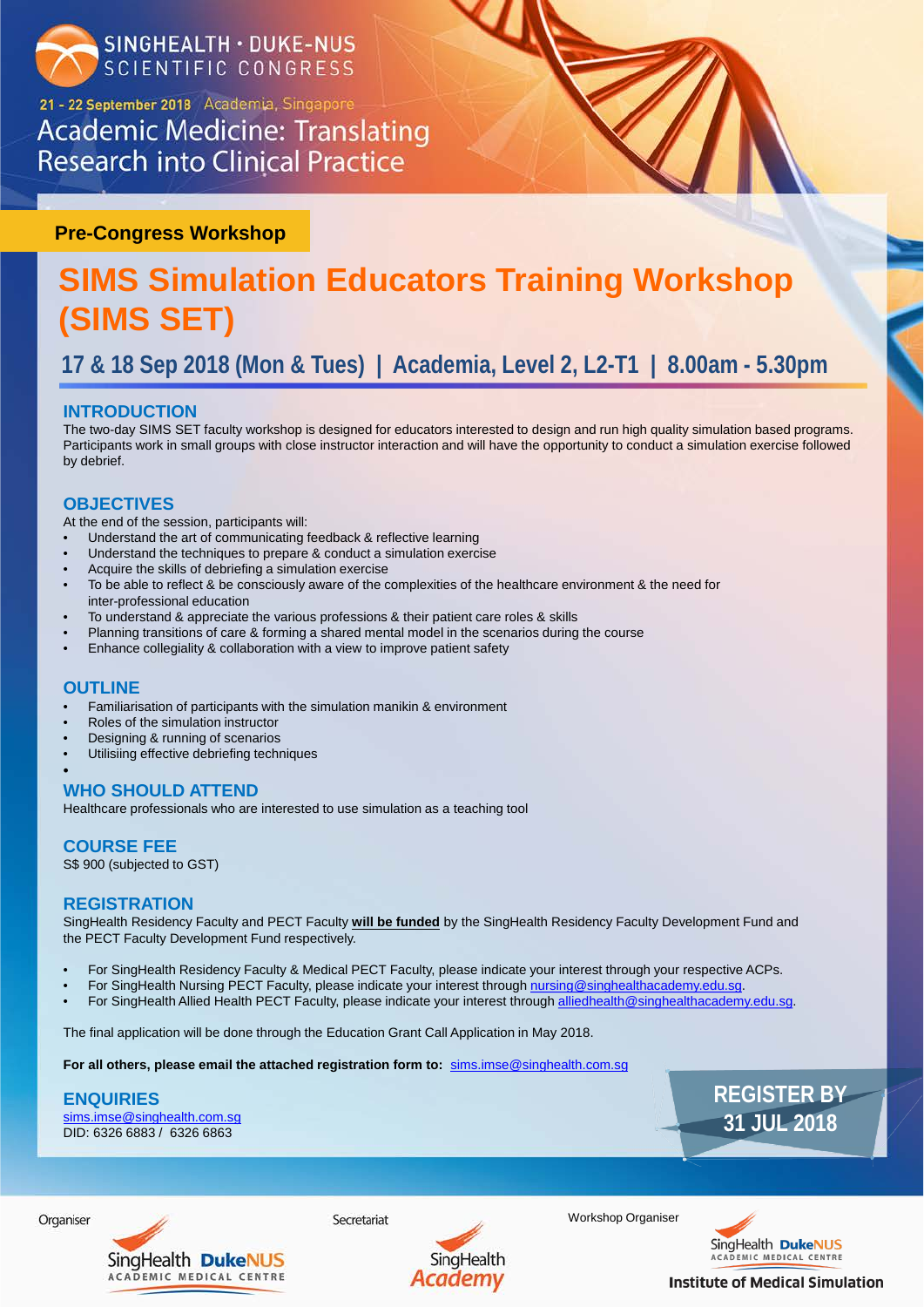

21 - 22 September 2018 Academia, Singapore **Academic Medicine: Translating Research into Clinical Practice** 

Workshop Organiser



**Institute of Medical Simulation** 

# **SIMS Simulation Educators Training Workshop (SIMS SET)**

**17 & 18 Sep 2018 (Mon & Tues) | Academia, Level 2, L2-T1 | 8.00am - 5.30pm** 

## **INTRODUCTION**

The two-day SIMS SET faculty workshop is designed for educators interested to design and run high quality simulation based programs. Participants work in small groups with close instructor interaction and will have the opportunity to conduct a simulation exercise followed by debrief.

## **OBJECTIVES**

At the end of the session, participants will:

- Understand the art of communicating feedback & reflective learning
- Understand the techniques to prepare & conduct a simulation exercise
- Acquire the skills of debriefing a simulation exercise
- To be able to reflect & be consciously aware of the complexities of the healthcare environment & the need for inter-professional education
- To understand & appreciate the various professions & their patient care roles & skills
- Planning transitions of care & forming a shared mental model in the scenarios during the course
- Enhance collegiality & collaboration with a view to improve patient safety

- Familiarisation of participants with the simulation manikin & environment
- Roles of the simulation instructor
- Designing & running of scenarios
- Utilisiing effective debriefing techniques

## **OUTLINE**

### • **WHO SHOULD ATTEND**

Healthcare professionals who are interested to use simulation as a teaching tool

**COURSE FEE** S\$ 900 (subjected to GST)

## **REGISTRATION**

SingHealth Residency Faculty and PECT Faculty **will be funded** by the SingHealth Residency Faculty Development Fund and the PECT Faculty Development Fund respectively.

- For SingHealth Residency Faculty & Medical PECT Faculty, please indicate your interest through your respective ACPs.
- For SingHealth Nursing PECT Faculty, please indicate your interest through [nursing@singhealthacademy.edu.sg](mailto:nursing@singhealthacademy.edu.sg).
- 
- For SingHealth Allied Health PECT Faculty, please indicate your interest through [alliedhealth@singhealthacademy.edu.sg.](mailto:alliedhealth@singhealthacademy.edu.sg)

The final application will be done through the Education Grant Call Application in May 2018.

**For all others, please email the attached registration form to:** [sims.imse@singhealth.com.sg](mailto:sims.imse@singhealth.com.sg)

**ENQUIRIES** [sims.imse@singhealth.com.sg](mailto:sims.imse@singhealth.com.sg) DID: 6326 6883 / 6326 6863

## **REGISTER BY 31 JUL 2018**





**Pre-Congress Workshop**